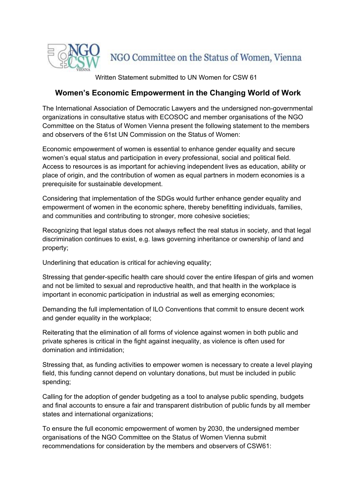

Written Statement submitted to UN Women for CSW 61

## **Women's Economic Empowerment in the Changing World of Work**

The International Association of Democratic Lawyers and the undersigned non-governmental organizations in consultative status with ECOSOC and member organisations of the NGO Committee on the Status of Women Vienna present the following statement to the members and observers of the 61st UN Commission on the Status of Women:

Economic empowerment of women is essential to enhance gender equality and secure women's equal status and participation in every professional, social and political field. Access to resources is as important for achieving independent lives as education, ability or place of origin, and the contribution of women as equal partners in modern economies is a prerequisite for sustainable development.

Considering that implementation of the SDGs would further enhance gender equality and empowerment of women in the economic sphere, thereby benefitting individuals, families, and communities and contributing to stronger, more cohesive societies;

Recognizing that legal status does not always reflect the real status in society, and that legal discrimination continues to exist, e.g. laws governing inheritance or ownership of land and property;

Underlining that education is critical for achieving equality;

Stressing that gender-specific health care should cover the entire lifespan of girls and women and not be limited to sexual and reproductive health, and that health in the workplace is important in economic participation in industrial as well as emerging economies;

Demanding the full implementation of ILO Conventions that commit to ensure decent work and gender equality in the workplace;

Reiterating that the elimination of all forms of violence against women in both public and private spheres is critical in the fight against inequality, as violence is often used for domination and intimidation;

Stressing that, as funding activities to empower women is necessary to create a level playing field, this funding cannot depend on voluntary donations, but must be included in public spending;

Calling for the adoption of gender budgeting as a tool to analyse public spending, budgets and final accounts to ensure a fair and transparent distribution of public funds by all member states and international organizations;

To ensure the full economic empowerment of women by 2030, the undersigned member organisations of the NGO Committee on the Status of Women Vienna submit recommendations for consideration by the members and observers of CSW61: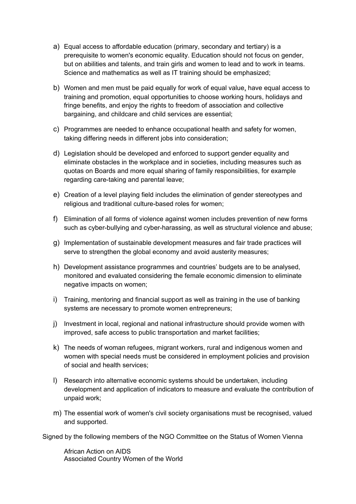- a) Equal access to affordable education (primary, secondary and tertiary) is a prerequisite to women's economic equality. Education should not focus on gender, but on abilities and talents, and train girls and women to lead and to work in teams. Science and mathematics as well as IT training should be emphasized;
- b) Women and men must be paid equally for work of equal value, have equal access to training and promotion, equal opportunities to choose working hours, holidays and fringe benefits, and enjoy the rights to freedom of association and collective bargaining, and childcare and child services are essential;
- c) Programmes are needed to enhance occupational health and safety for women, taking differing needs in different jobs into consideration;
- d) Legislation should be developed and enforced to support gender equality and eliminate obstacles in the workplace and in societies, including measures such as quotas on Boards and more equal sharing of family responsibilities, for example regarding care-taking and parental leave;
- e) Creation of a level playing field includes the elimination of gender stereotypes and religious and traditional culture-based roles for women;
- f) Elimination of all forms of violence against women includes prevention of new forms such as cyber-bullying and cyber-harassing, as well as structural violence and abuse;
- g) Implementation of sustainable development measures and fair trade practices will serve to strengthen the global economy and avoid austerity measures;
- h) Development assistance programmes and countries' budgets are to be analysed, monitored and evaluated considering the female economic dimension to eliminate negative impacts on women;
- i) Training, mentoring and financial support as well as training in the use of banking systems are necessary to promote women entrepreneurs;
- j) Investment in local, regional and national infrastructure should provide women with improved, safe access to public transportation and market facilities;
- k) The needs of woman refugees, migrant workers, rural and indigenous women and women with special needs must be considered in employment policies and provision of social and health services;
- l) Research into alternative economic systems should be undertaken, including development and application of indicators to measure and evaluate the contribution of unpaid work;
- m) The essential work of women's civil society organisations must be recognised, valued and supported.

Signed by the following members of the NGO Committee on the Status of Women Vienna

African Action on AIDS Associated Country Women of the World